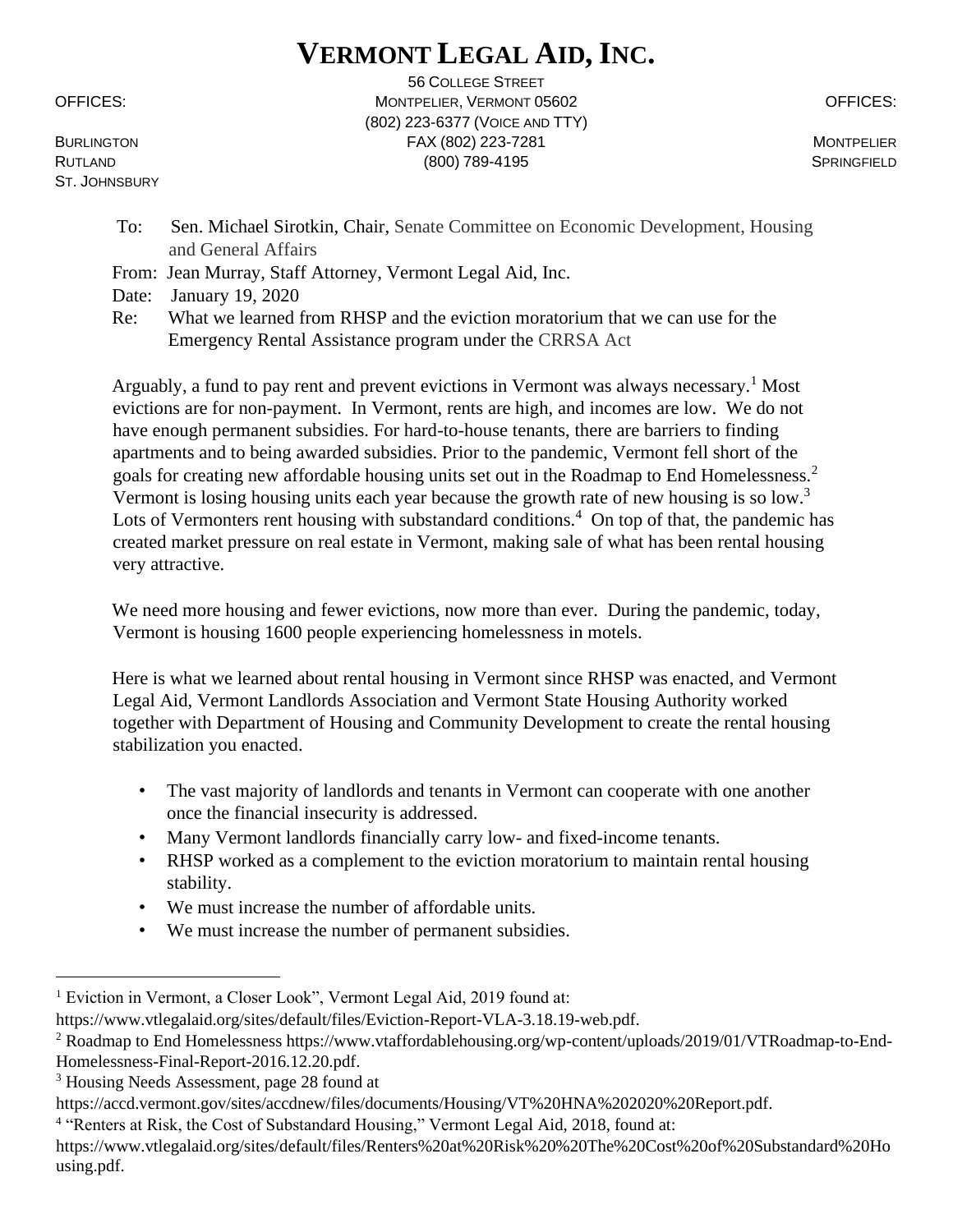## **VERMONT LEGAL AID, INC.**

ST. JOHNSBURY

56 COLLEGE STREET OFFICES: MONTPELIER, VERMONT 05602 OFFICES: (802) 223-6377 (VOICE AND TTY) BURLINGTON FAX (802) 223-7281 MONTPELIER RUTLAND SPRINGFIELD (800) 789-4195 SPRINGFIELD

- To: Sen. Michael Sirotkin, Chair, Senate Committee on Economic Development, Housing and General Affairs
- From: Jean Murray, Staff Attorney, Vermont Legal Aid, Inc.
- Date: January 19, 2020
- Re: What we learned from RHSP and the eviction moratorium that we can use for the Emergency Rental Assistance program under the CRRSA Act

Arguably, a fund to pay rent and prevent evictions in Vermont was always necessary.<sup>1</sup> Most evictions are for non-payment. In Vermont, rents are high, and incomes are low. We do not have enough permanent subsidies. For hard-to-house tenants, there are barriers to finding apartments and to being awarded subsidies. Prior to the pandemic, Vermont fell short of the goals for creating new affordable housing units set out in the Roadmap to End Homelessness.<sup>2</sup> Vermont is losing housing units each year because the growth rate of new housing is so low.<sup>3</sup> Lots of Vermonters rent housing with substandard conditions.<sup>4</sup> On top of that, the pandemic has created market pressure on real estate in Vermont, making sale of what has been rental housing very attractive.

We need more housing and fewer evictions, now more than ever. During the pandemic, today, Vermont is housing 1600 people experiencing homelessness in motels.

Here is what we learned about rental housing in Vermont since RHSP was enacted, and Vermont Legal Aid, Vermont Landlords Association and Vermont State Housing Authority worked together with Department of Housing and Community Development to create the rental housing stabilization you enacted.

- The vast majority of landlords and tenants in Vermont can cooperate with one another once the financial insecurity is addressed.
- Many Vermont landlords financially carry low- and fixed-income tenants.
- RHSP worked as a complement to the eviction moratorium to maintain rental housing stability.
- We must increase the number of affordable units.
- We must increase the number of permanent subsidies.

<sup>&</sup>lt;sup>1</sup> Eviction in Vermont, a Closer Look", Vermont Legal Aid, 2019 found at:

https://www.vtlegalaid.org/sites/default/files/Eviction-Report-VLA-3.18.19-web.pdf.

<sup>2</sup> Roadmap to End Homelessness https://www.vtaffordablehousing.org/wp-content/uploads/2019/01/VTRoadmap-to-End-Homelessness-Final-Report-2016.12.20.pdf.

<sup>&</sup>lt;sup>3</sup> Housing Needs Assessment, page 28 found at

https://accd.vermont.gov/sites/accdnew/files/documents/Housing/VT%20HNA%202020%20Report.pdf.

<sup>&</sup>lt;sup>4</sup> "Renters at Risk, the Cost of Substandard Housing," Vermont Legal Aid, 2018, found at:

https://www.vtlegalaid.org/sites/default/files/Renters%20at%20Risk%20%20The%20Cost%20of%20Substandard%20Ho using.pdf.